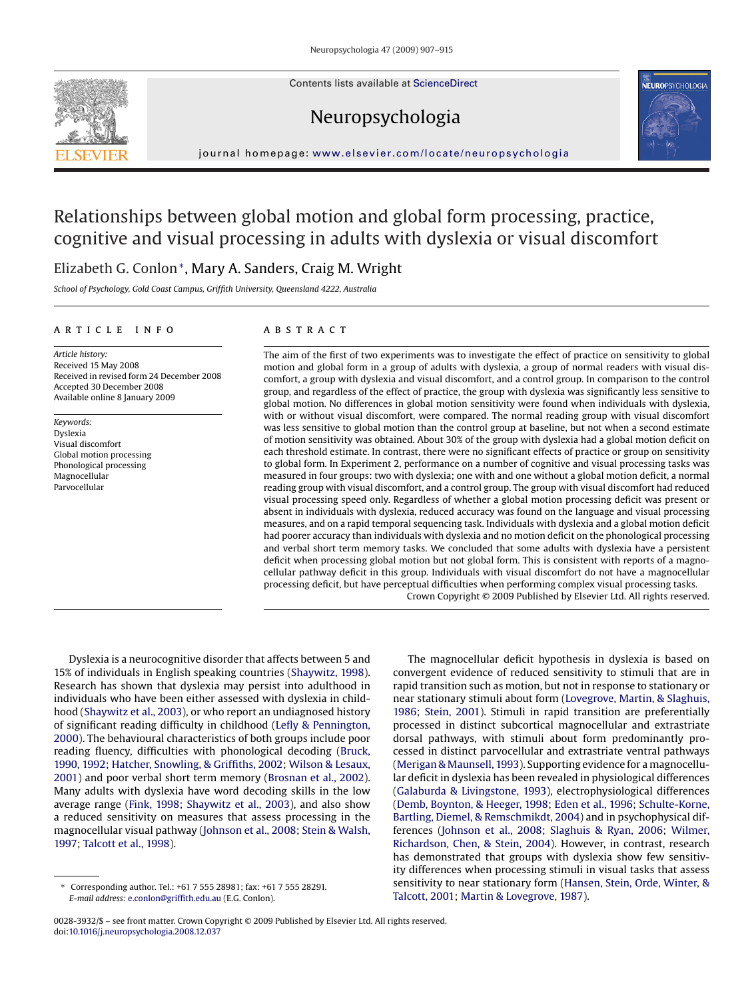Contents lists available at [ScienceDirect](http://www.sciencedirect.com/science/journal/00283932)

Neuropsychologia



# journal homepage: [www.elsevier.com/locate/neuropsychologia](http://www.elsevier.com/locate/neuropsychologia)

# Relationships between global motion and global form processing, practice, cognitive and visual processing in adults with dyslexia or visual discomfort

# Elizabeth G. Conlon∗, Mary A. Sanders, Craig M. Wright

*School of Psychology, Gold Coast Campus, Griffith University, Queensland 4222, Australia*

## article info

*Article history:* Received 15 May 2008 Received in revised form 24 December 2008 Accepted 30 December 2008 Available online 8 January 2009

*Keywords:* Dyslexia Visual discomfort Global motion processing Phonological processing Magnocellular Parvocellular

# **ABSTRACT**

The aim of the first of two experiments was to investigate the effect of practice on sensitivity to global motion and global form in a group of adults with dyslexia, a group of normal readers with visual discomfort, a group with dyslexia and visual discomfort, and a control group. In comparison to the control group, and regardless of the effect of practice, the group with dyslexia was significantly less sensitive to global motion. No differences in global motion sensitivity were found when individuals with dyslexia, with or without visual discomfort, were compared. The normal reading group with visual discomfort was less sensitive to global motion than the control group at baseline, but not when a second estimate of motion sensitivity was obtained. About 30% of the group with dyslexia had a global motion deficit on each threshold estimate. In contrast, there were no significant effects of practice or group on sensitivity to global form. In Experiment 2, performance on a number of cognitive and visual processing tasks was measured in four groups: two with dyslexia; one with and one without a global motion deficit, a normal reading group with visual discomfort, and a control group. The group with visual discomfort had reduced visual processing speed only. Regardless of whether a global motion processing deficit was present or absent in individuals with dyslexia, reduced accuracy was found on the language and visual processing measures, and on a rapid temporal sequencing task. Individuals with dyslexia and a global motion deficit had poorer accuracy than individuals with dyslexia and no motion deficit on the phonological processing and verbal short term memory tasks. We concluded that some adults with dyslexia have a persistent deficit when processing global motion but not global form. This is consistent with reports of a magnocellular pathway deficit in this group. Individuals with visual discomfort do not have a magnocellular processing deficit, but have perceptual difficulties when performing complex visual processing tasks.

Crown Copyright © 2009 Published by Elsevier Ltd. All rights reserved.

Dyslexia is a neurocognitive disorder that affects between 5 and 15% of individuals in English speaking countries [\(Shaywitz, 1998\).](#page--1-0) Research has shown that dyslexia may persist into adulthood in individuals who have been either assessed with dyslexia in childhood ([Shaywitz et al., 2003\),](#page--1-0) or who report an undiagnosed history of significant reading difficulty in childhood [\(Lefly & Pennington,](#page--1-0) [2000\).](#page--1-0) The behavioural characteristics of both groups include poor reading fluency, difficulties with phonological decoding [\(Bruck,](#page--1-0) [1990, 1992;](#page--1-0) [Hatcher, Snowling, & Griffiths, 2002;](#page--1-0) [Wilson & Lesaux,](#page--1-0) [2001\)](#page--1-0) and poor verbal short term memory ([Brosnan et al., 2002\).](#page--1-0) Many adults with dyslexia have word decoding skills in the low average range [\(Fink, 1998; Shaywitz et al., 2003\),](#page--1-0) and also show a reduced sensitivity on measures that assess processing in the magnocellular visual pathway [\(Johnson et al., 2008;](#page--1-0) [Stein & Walsh,](#page--1-0) [1997;](#page--1-0) [Talcott et al., 1998\).](#page--1-0)

The magnocellular deficit hypothesis in dyslexia is based on convergent evidence of reduced sensitivity to stimuli that are in rapid transition such as motion, but not in response to stationary or near stationary stimuli about form [\(Lovegrove, Martin, & Slaghuis,](#page--1-0) [1986;](#page--1-0) [Stein, 2001\).](#page--1-0) Stimuli in rapid transition are preferentially processed in distinct subcortical magnocellular and extrastriate dorsal pathways, with stimuli about form predominantly processed in distinct parvocellular and extrastriate ventral pathways [\(Merigan & Maunsell, 1993\).](#page--1-0) Supporting evidence for a magnocellular deficit in dyslexia has been revealed in physiological differences [\(Galaburda & Livingstone, 1993\),](#page--1-0) electrophysiological differences [\(Demb, Boynton, & Heeger, 1998;](#page--1-0) [Eden et al., 1996;](#page--1-0) [Schulte-Korne,](#page--1-0) [Bartling, Diemel, & Remschmikdt, 2004\) a](#page--1-0)nd in psychophysical differences ([Johnson et al., 2008;](#page--1-0) [Slaghuis & Ryan, 2006;](#page--1-0) [Wilmer,](#page--1-0) [Richardson, Chen, & Stein, 2004\).](#page--1-0) However, in contrast, research has demonstrated that groups with dyslexia show few sensitivity differences when processing stimuli in visual tasks that assess sensitivity to near stationary form [\(Hansen, Stein, Orde, Winter, &](#page--1-0) [Talcott, 2001;](#page--1-0) [Martin & Lovegrove, 1987\).](#page--1-0)

<sup>∗</sup> Corresponding author. Tel.: +61 7 555 28981; fax: +61 7 555 28291. *E-mail address:* [e.conlon@griffith.edu.au](mailto:e.conlon@griffith.edu.au) (E.G. Conlon).

<sup>0028-3932/\$ –</sup> see front matter. Crown Copyright © 2009 Published by Elsevier Ltd. All rights reserved. doi:[10.1016/j.neuropsychologia.2008.12.037](dx.doi.org/10.1016/j.neuropsychologia.2008.12.037)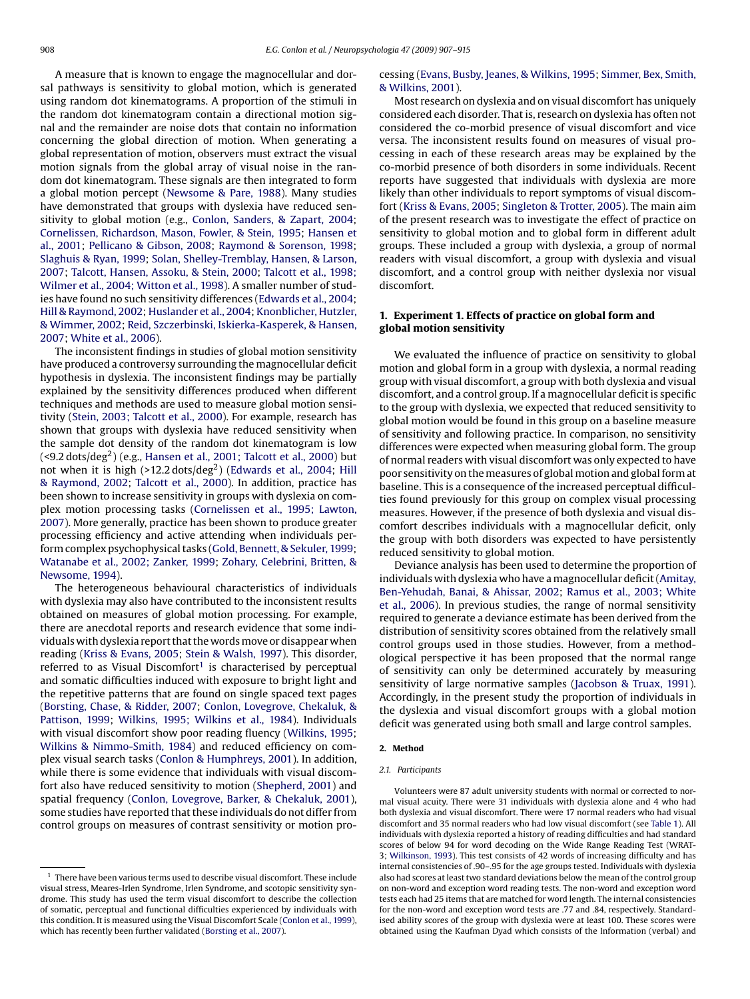A measure that is known to engage the magnocellular and dorsal pathways is sensitivity to global motion, which is generated using random dot kinematograms. A proportion of the stimuli in the random dot kinematogram contain a directional motion signal and the remainder are noise dots that contain no information concerning the global direction of motion. When generating a global representation of motion, observers must extract the visual motion signals from the global array of visual noise in the random dot kinematogram. These signals are then integrated to form a global motion percept [\(Newsome & Pare, 1988\).](#page--1-0) Many studies have demonstrated that groups with dyslexia have reduced sensitivity to global motion (e.g., [Conlon, Sanders, & Zapart, 2004;](#page--1-0) [Cornelissen, Richardson, Mason, Fowler, & Stein, 1995;](#page--1-0) [Hansen et](#page--1-0) [al., 2001;](#page--1-0) [Pellicano & Gibson, 2008;](#page--1-0) [Raymond & Sorenson, 1998;](#page--1-0) [Slaghuis & Ryan, 1999;](#page--1-0) [Solan, Shelley-Tremblay, Hansen, & Larson,](#page--1-0) [2007;](#page--1-0) [Talcott, Hansen, Assoku, & Stein, 2000;](#page--1-0) [Talcott et al., 1998;](#page--1-0) [Wilmer et al., 2004; Witton et al., 1998\).](#page--1-0) A smaller number of studies have found no such sensitivity differences [\(Edwards et al., 2004;](#page--1-0) [Hill & Raymond, 2002;](#page--1-0) [Huslander et al., 2004;](#page--1-0) [Knonblicher, Hutzler,](#page--1-0) [& Wimmer, 2002;](#page--1-0) [Reid, Szczerbinski, Iskierka-Kasperek, & Hansen,](#page--1-0) [2007;](#page--1-0) [White et al., 2006\).](#page--1-0)

The inconsistent findings in studies of global motion sensitivity have produced a controversy surrounding the magnocellular deficit hypothesis in dyslexia. The inconsistent findings may be partially explained by the sensitivity differences produced when different techniques and methods are used to measure global motion sensitivity ([Stein, 2003; Talcott et al., 2000\).](#page--1-0) For example, research has shown that groups with dyslexia have reduced sensitivity when the sample dot density of the random dot kinematogram is low  $($ <9.2 dots/deg<sup>2</sup>) (e.g., [Hansen et al., 2001; Talcott et al., 2000\)](#page--1-0) but not when it is high  $(>12.2 \text{ dots}/\text{deg}^2)$  [\(Edwards et al., 2004;](#page--1-0) [Hill](#page--1-0) [& Raymond, 2002;](#page--1-0) [Talcott et al., 2000\).](#page--1-0) In addition, practice has been shown to increase sensitivity in groups with dyslexia on complex motion processing tasks [\(Cornelissen et al., 1995; Lawton,](#page--1-0) [2007\).](#page--1-0) More generally, practice has been shown to produce greater processing efficiency and active attending when individuals perform complex psychophysical tasks ([Gold, Bennett, & Sekuler, 1999;](#page--1-0) [Watanabe et al., 2002; Zanker, 1999;](#page--1-0) [Zohary, Celebrini, Britten, &](#page--1-0) [Newsome, 1994\).](#page--1-0)

The heterogeneous behavioural characteristics of individuals with dyslexia may also have contributed to the inconsistent results obtained on measures of global motion processing. For example, there are anecdotal reports and research evidence that some individuals with dyslexia report that the wordsmove or disappear when reading [\(Kriss & Evans, 2005;](#page--1-0) [Stein & Walsh, 1997\).](#page--1-0) This disorder, referred to as Visual Discomfort<sup>1</sup> is characterised by perceptual and somatic difficulties induced with exposure to bright light and the repetitive patterns that are found on single spaced text pages ([Borsting, Chase, & Ridder, 2007;](#page--1-0) [Conlon, Lovegrove, Chekaluk, &](#page--1-0) [Pattison, 1999;](#page--1-0) [Wilkins, 1995; Wilkins et al., 1984\).](#page--1-0) Individuals with visual discomfort show poor reading fluency [\(Wilkins, 1995;](#page--1-0) [Wilkins & Nimmo-Smith, 1984\)](#page--1-0) and reduced efficiency on complex visual search tasks [\(Conlon & Humphreys, 2001\).](#page--1-0) In addition, while there is some evidence that individuals with visual discomfort also have reduced sensitivity to motion [\(Shepherd, 2001\)](#page--1-0) and spatial frequency ([Conlon, Lovegrove, Barker, & Chekaluk, 2001\),](#page--1-0) some studies have reported that these individuals do not differ from control groups on measures of contrast sensitivity or motion processing ([Evans, Busby, Jeanes, & Wilkins, 1995;](#page--1-0) [Simmer, Bex, Smith,](#page--1-0) [& Wilkins, 2001\).](#page--1-0)

Most research on dyslexia and on visual discomfort has uniquely considered each disorder. That is, research on dyslexia has often not considered the co-morbid presence of visual discomfort and vice versa. The inconsistent results found on measures of visual processing in each of these research areas may be explained by the co-morbid presence of both disorders in some individuals. Recent reports have suggested that individuals with dyslexia are more likely than other individuals to report symptoms of visual discomfort [\(Kriss & Evans, 2005;](#page--1-0) [Singleton & Trotter, 2005\).](#page--1-0) The main aim of the present research was to investigate the effect of practice on sensitivity to global motion and to global form in different adult groups. These included a group with dyslexia, a group of normal readers with visual discomfort, a group with dyslexia and visual discomfort, and a control group with neither dyslexia nor visual discomfort.

### **1. Experiment 1. Effects of practice on global form and global motion sensitivity**

We evaluated the influence of practice on sensitivity to global motion and global form in a group with dyslexia, a normal reading group with visual discomfort, a group with both dyslexia and visual discomfort, and a control group. If a magnocellular deficit is specific to the group with dyslexia, we expected that reduced sensitivity to global motion would be found in this group on a baseline measure of sensitivity and following practice. In comparison, no sensitivity differences were expected when measuring global form. The group of normal readers with visual discomfort was only expected to have poor sensitivity on the measures of global motion and global form at baseline. This is a consequence of the increased perceptual difficulties found previously for this group on complex visual processing measures. However, if the presence of both dyslexia and visual discomfort describes individuals with a magnocellular deficit, only the group with both disorders was expected to have persistently reduced sensitivity to global motion.

Deviance analysis has been used to determine the proportion of individuals with dyslexia who have a magnocellular deficit [\(Amitay,](#page--1-0) [Ben-Yehudah, Banai, & Ahissar, 2002;](#page--1-0) [Ramus et al., 2003; White](#page--1-0) [et al., 2006\).](#page--1-0) In previous studies, the range of normal sensitivity required to generate a deviance estimate has been derived from the distribution of sensitivity scores obtained from the relatively small control groups used in those studies. However, from a methodological perspective it has been proposed that the normal range of sensitivity can only be determined accurately by measuring sensitivity of large normative samples ([Jacobson & Truax, 1991\).](#page--1-0) Accordingly, in the present study the proportion of individuals in the dyslexia and visual discomfort groups with a global motion deficit was generated using both small and large control samples.

### **2. Method**

#### *2.1. Participants*

Volunteers were 87 adult university students with normal or corrected to normal visual acuity. There were 31 individuals with dyslexia alone and 4 who had both dyslexia and visual discomfort. There were 17 normal readers who had visual discomfort and 35 normal readers who had low visual discomfort (see [Table 1\).](#page--1-0) All individuals with dyslexia reported a history of reading difficulties and had standard scores of below 94 for word decoding on the Wide Range Reading Test (WRAT-3; [Wilkinson, 1993\).](#page--1-0) This test consists of 42 words of increasing difficulty and has internal consistencies of .90–.95 for the age groups tested. Individuals with dyslexia also had scores at least two standard deviations below the mean of the control group on non-word and exception word reading tests. The non-word and exception word tests each had 25 items that are matched for word length. The internal consistencies for the non-word and exception word tests are .77 and .84, respectively. Standardised ability scores of the group with dyslexia were at least 100. These scores were obtained using the Kaufman Dyad which consists of the Information (verbal) and

 $^{\rm 1}$  There have been various terms used to describe visual discomfort. These include visual stress, Meares-Irlen Syndrome, Irlen Syndrome, and scotopic sensitivity syndrome. This study has used the term visual discomfort to describe the collection of somatic, perceptual and functional difficulties experienced by individuals with this condition. It is measured using the Visual Discomfort Scale ([Conlon et al., 1999\),](#page--1-0) which has recently been further validated [\(Borsting et al., 2007\).](#page--1-0)